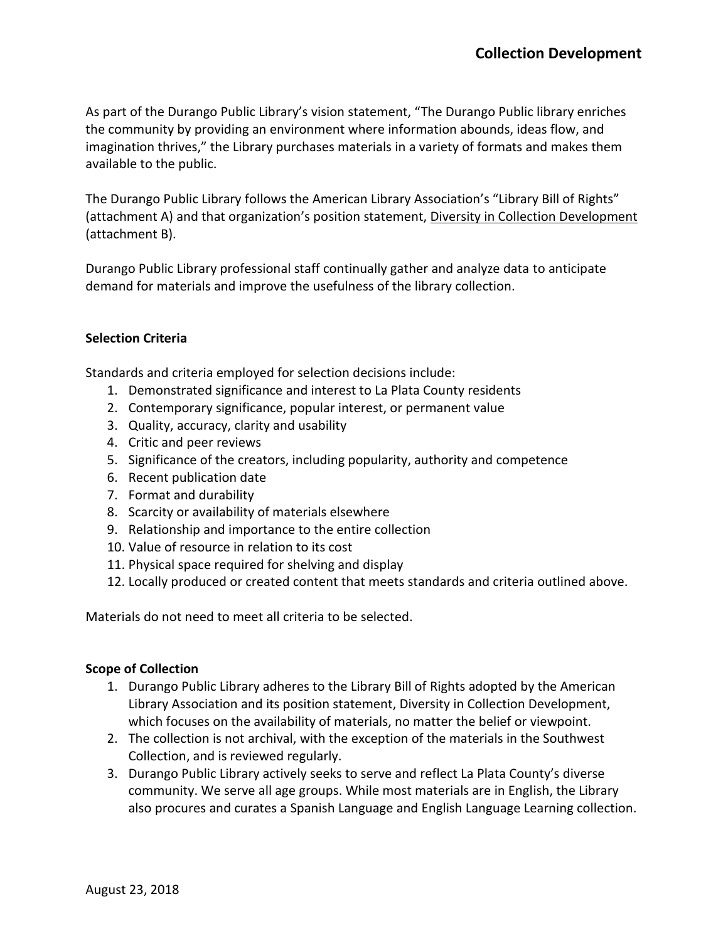As part of the Durango Public Library's vision statement, "The Durango Public library enriches the community by providing an environment where information abounds, ideas flow, and imagination thrives," the Library purchases materials in a variety of formats and makes them available to the public.

The Durango Public Library follows the American Library Association's "Library Bill of Rights" (attachment A) and that organization's position statement, Diversity in Collection Development (attachment B).

Durango Public Library professional staff continually gather and analyze data to anticipate demand for materials and improve the usefulness of the library collection.

## **Selection Criteria**

Standards and criteria employed for selection decisions include:

- 1. Demonstrated significance and interest to La Plata County residents
- 2. Contemporary significance, popular interest, or permanent value
- 3. Quality, accuracy, clarity and usability
- 4. Critic and peer reviews
- 5. Significance of the creators, including popularity, authority and competence
- 6. Recent publication date
- 7. Format and durability
- 8. Scarcity or availability of materials elsewhere
- 9. Relationship and importance to the entire collection
- 10. Value of resource in relation to its cost
- 11. Physical space required for shelving and display
- 12. Locally produced or created content that meets standards and criteria outlined above.

Materials do not need to meet all criteria to be selected.

## **Scope of Collection**

- 1. Durango Public Library adheres to the Library Bill of Rights adopted by the American Library Association and its position statement, Diversity in Collection Development, which focuses on the availability of materials, no matter the belief or viewpoint.
- 2. The collection is not archival, with the exception of the materials in the Southwest Collection, and is reviewed regularly.
- 3. Durango Public Library actively seeks to serve and reflect La Plata County's diverse community. We serve all age groups. While most materials are in English, the Library also procures and curates a Spanish Language and English Language Learning collection.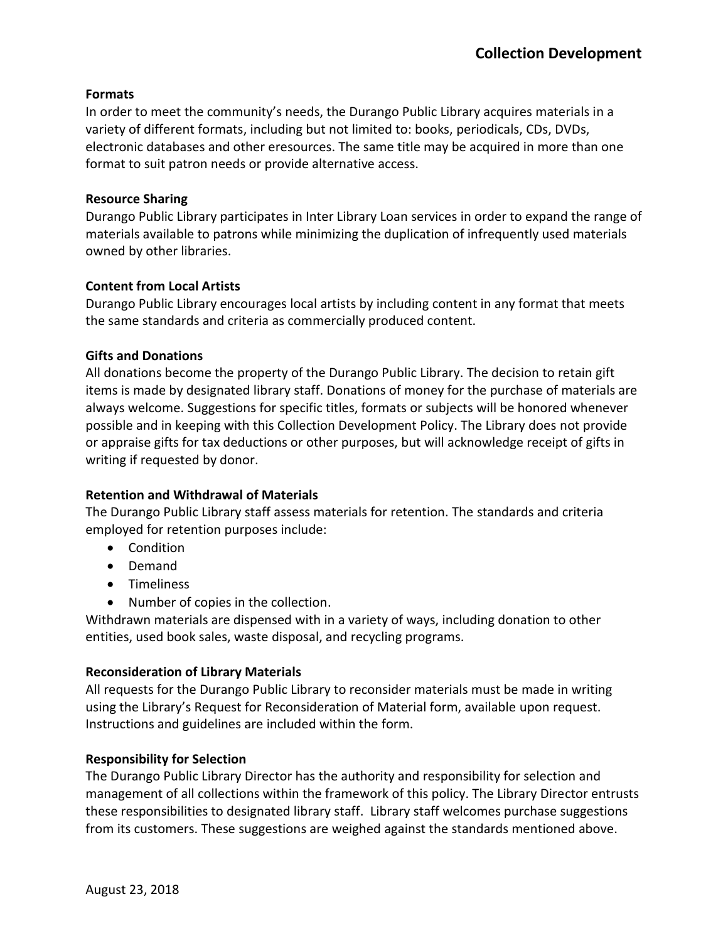## **Formats**

In order to meet the community's needs, the Durango Public Library acquires materials in a variety of different formats, including but not limited to: books, periodicals, CDs, DVDs, electronic databases and other eresources. The same title may be acquired in more than one format to suit patron needs or provide alternative access.

## **Resource Sharing**

Durango Public Library participates in Inter Library Loan services in order to expand the range of materials available to patrons while minimizing the duplication of infrequently used materials owned by other libraries.

# **Content from Local Artists**

Durango Public Library encourages local artists by including content in any format that meets the same standards and criteria as commercially produced content.

# **Gifts and Donations**

All donations become the property of the Durango Public Library. The decision to retain gift items is made by designated library staff. Donations of money for the purchase of materials are always welcome. Suggestions for specific titles, formats or subjects will be honored whenever possible and in keeping with this Collection Development Policy. The Library does not provide or appraise gifts for tax deductions or other purposes, but will acknowledge receipt of gifts in writing if requested by donor.

# **Retention and Withdrawal of Materials**

The Durango Public Library staff assess materials for retention. The standards and criteria employed for retention purposes include:

- Condition
- Demand
- Timeliness
- Number of copies in the collection.

Withdrawn materials are dispensed with in a variety of ways, including donation to other entities, used book sales, waste disposal, and recycling programs.

# **Reconsideration of Library Materials**

All requests for the Durango Public Library to reconsider materials must be made in writing using the Library's Request for Reconsideration of Material form, available upon request. Instructions and guidelines are included within the form.

# **Responsibility for Selection**

The Durango Public Library Director has the authority and responsibility for selection and management of all collections within the framework of this policy. The Library Director entrusts these responsibilities to designated library staff. Library staff welcomes purchase suggestions from its customers. These suggestions are weighed against the standards mentioned above.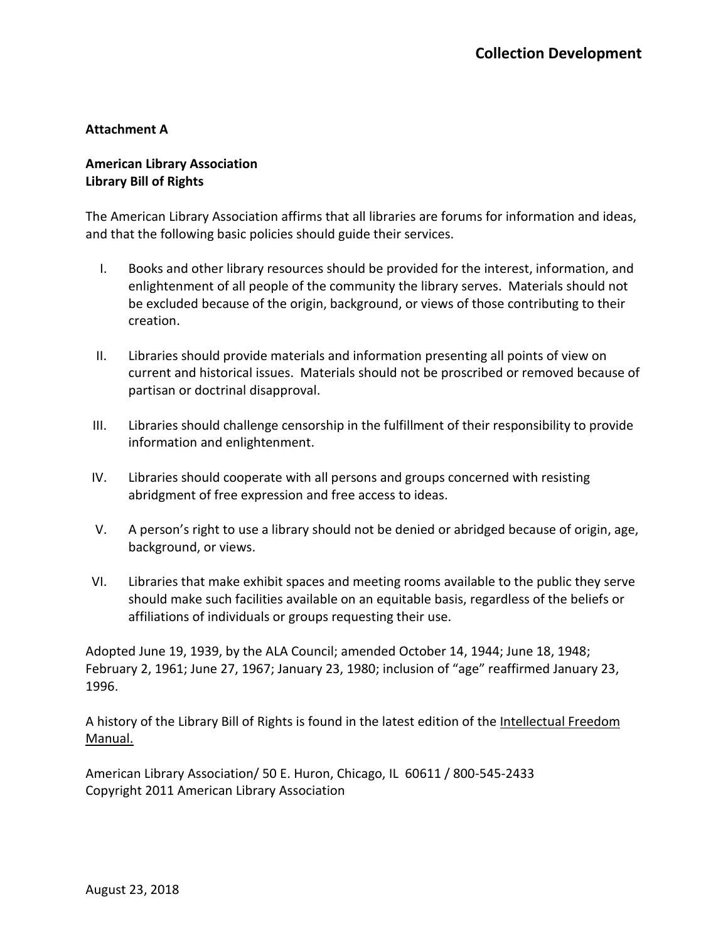#### **Attachment A**

# **American Library Association Library Bill of Rights**

The American Library Association affirms that all libraries are forums for information and ideas, and that the following basic policies should guide their services.

- I. Books and other library resources should be provided for the interest, information, and enlightenment of all people of the community the library serves. Materials should not be excluded because of the origin, background, or views of those contributing to their creation.
- II. Libraries should provide materials and information presenting all points of view on current and historical issues. Materials should not be proscribed or removed because of partisan or doctrinal disapproval.
- III. Libraries should challenge censorship in the fulfillment of their responsibility to provide information and enlightenment.
- IV. Libraries should cooperate with all persons and groups concerned with resisting abridgment of free expression and free access to ideas.
- V. A person's right to use a library should not be denied or abridged because of origin, age, background, or views.
- VI. Libraries that make exhibit spaces and meeting rooms available to the public they serve should make such facilities available on an equitable basis, regardless of the beliefs or affiliations of individuals or groups requesting their use.

Adopted June 19, 1939, by the ALA Council; amended October 14, 1944; June 18, 1948; February 2, 1961; June 27, 1967; January 23, 1980; inclusion of "age" reaffirmed January 23, 1996.

A history of the Library Bill of Rights is found in the latest edition of the Intellectual Freedom Manual.

American Library Association/ 50 E. Huron, Chicago, IL 60611 / 800-545-2433 Copyright 2011 American Library Association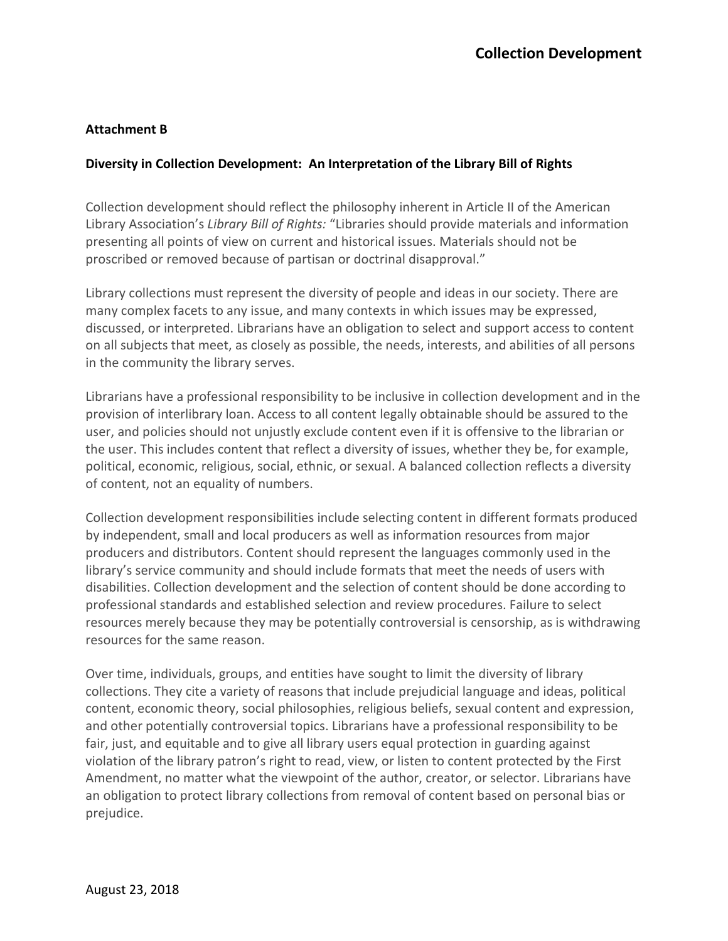## **Attachment B**

## **Diversity in Collection Development: An Interpretation of the Library Bill of Rights**

Collection development should reflect the philosophy inherent in Article II of the American Library Association's *Library Bill of Rights:* "Libraries should provide materials and information presenting all points of view on current and historical issues. Materials should not be proscribed or removed because of partisan or doctrinal disapproval."

Library collections must represent the diversity of people and ideas in our society. There are many complex facets to any issue, and many contexts in which issues may be expressed, discussed, or interpreted. Librarians have an obligation to select and support access to content on all subjects that meet, as closely as possible, the needs, interests, and abilities of all persons in the community the library serves.

Librarians have a professional responsibility to be inclusive in collection development and in the provision of interlibrary loan. Access to all content legally obtainable should be assured to the user, and policies should not unjustly exclude content even if it is offensive to the librarian or the user. This includes content that reflect a diversity of issues, whether they be, for example, political, economic, religious, social, ethnic, or sexual. A balanced collection reflects a diversity of content, not an equality of numbers.

Collection development responsibilities include selecting content in different formats produced by independent, small and local producers as well as information resources from major producers and distributors. Content should represent the languages commonly used in the library's service community and should include formats that meet the needs of users with disabilities. Collection development and the selection of content should be done according to professional standards and established selection and review procedures. Failure to select resources merely because they may be potentially controversial is censorship, as is withdrawing resources for the same reason.

Over time, individuals, groups, and entities have sought to limit the diversity of library collections. They cite a variety of reasons that include prejudicial language and ideas, political content, economic theory, social philosophies, religious beliefs, sexual content and expression, and other potentially controversial topics. Librarians have a professional responsibility to be fair, just, and equitable and to give all library users equal protection in guarding against violation of the library patron's right to read, view, or listen to content protected by the First Amendment, no matter what the viewpoint of the author, creator, or selector. Librarians have an obligation to protect library collections from removal of content based on personal bias or prejudice.